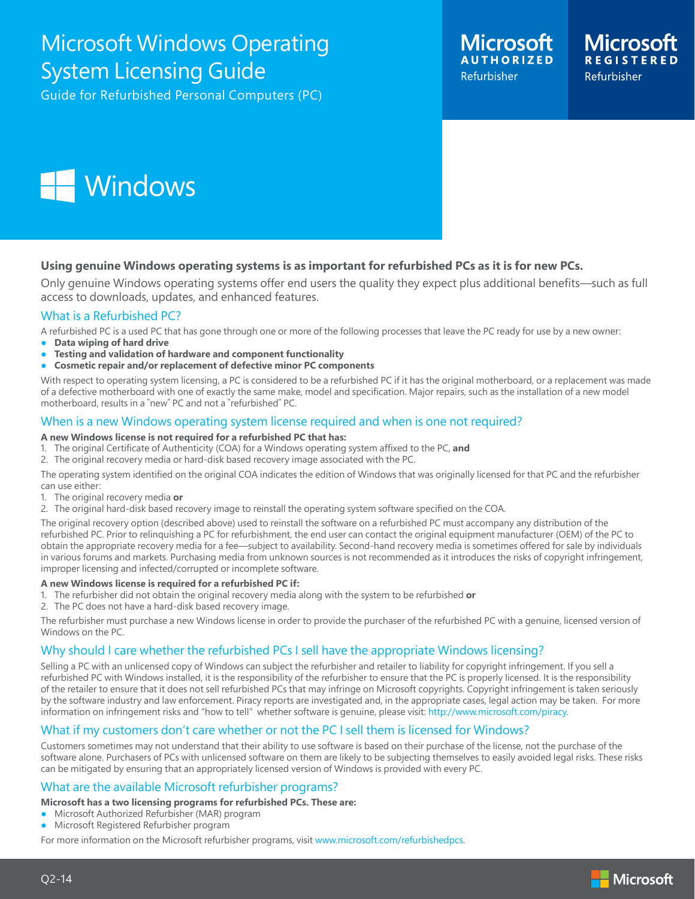## Microsoft Windows Operating System Licensing Guide

Guide for Refurbished Personal Computers (PC)





### **Using genuine Windows operating systems is as important for refurbished PCs as it is for new PCs.**

Only genuine Windows operating systems offer end users the quality they expect plus additional benefits—such as full access to downloads, updates, and enhanced features.

### What is a Refurbished PC?

A refurbished PC is a used PC that has gone through one or more of the following processes that leave the PC ready for use by a new owner:

- **● Data wiping of hard drive**
- **● Testing and validation of hardware and component functionality**
- **● Cosmetic repair and/or replacement of defective minor PC components**

With respect to operating system licensing, a PC is considered to be a refurbished PC if it has the original motherboard, or a replacement was made of a defective motherboard with one of exactly the same make, model and specification. Major repairs, such as the installation of a new model motherboard, results in a "new" PC and not a "refurbished" PC.

### When is a new Windows operating system license required and when is one not required?

#### **A new Windows license is not required for a refurbished PC that has:**

- 1. The original Certificate of Authenticity (COA) for a Windows operating system affixed to the PC, **and**
- 2. The original recovery media or hard-disk based recovery image associated with the PC.

The operating system identified on the original COA indicates the edition of Windows that was originally licensed for that PC and the refurbisher can use either:

- 1. The original recovery media **or**
- 2. The original hard-disk based recovery image to reinstall the operating system software specified on the COA.

The original recovery option (described above) used to reinstall the software on a refurbished PC must accompany any distribution of the refurbished PC. Prior to relinquishing a PC for refurbishment, the end user can contact the original equipment manufacturer (OEM) of the PC to obtain the appropriate recovery media for a fee—subject to availability. Second-hand recovery media is sometimes offered for sale by individuals in various forums and markets. Purchasing media from unknown sources is not recommended as it introduces the risks of copyright infringement, improper licensing and infected/corrupted or incomplete software.

#### **A new Windows license is required for a refurbished PC if:**

- 1. The refurbisher did not obtain the original recovery media along with the system to be refurbished **or**
- 2. The PC does not have a hard-disk based recovery image.

The refurbisher must purchase a new Windows license in order to provide the purchaser of the refurbished PC with a genuine, licensed version of Windows on the PC.

### Why should I care whether the refurbished PCs I sell have the appropriate Windows licensing?

Selling a PC with an unlicensed copy of Windows can subject the refurbisher and retailer to liability for copyright infringement. If you sell a refurbished PC with Windows installed, it is the responsibility of the refurbisher to ensure that the PC is properly licensed. It is the responsibility of the retailer to ensure that it does not sell refurbished PCs that may infringe on Microsoft copyrights. Copyright infringement is taken seriously by the software industry and law enforcement. Piracy reports are investigated and, in the appropriate cases, legal action may be taken. For more information on infringement risks and "how to tell" whether software is genuine, please visit: http://www.microsoft.com/piracy.

### What if my customers don't care whether or not the PC I sell them is licensed for Windows?

Customers sometimes may not understand that their ability to use software is based on their purchase of the license, not the purchase of the software alone. Purchasers of PCs with unlicensed software on them are likely to be subjecting themselves to easily avoided legal risks. These risks can be mitigated by ensuring that an appropriately licensed version of Windows is provided with every PC.

### What are the available Microsoft refurbisher programs?

- **Microsoft has a two licensing programs for refurbished PCs. These are:**
- **●** Microsoft Authorized Refurbisher (MAR) program
- **●** Microsoft Registered Refurbisher program

For more information on the Microsoft refurbisher programs, visit www.microsoft.com/refurbishedpcs.